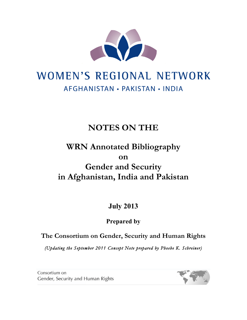

# **NOTES ON THE**

# **WRN Annotated Bibliography on Gender and Security in Afghanistan, India and Pakistan**

**July 2013**

**Prepared by**

**The Consortium on Gender, Security and Human Rights**

*(Updating the September 2011 Concept Note prepared by Phoebe K. Schreiner)* 

Consortium on Gender, Security and Human Rights

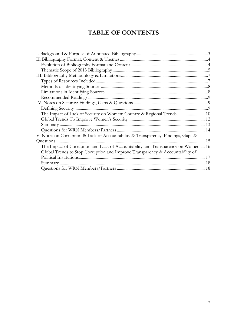## TABLE OF CONTENTS

| The Impact of Lack of Security on Women: Country & Regional Trends  10            |  |
|-----------------------------------------------------------------------------------|--|
|                                                                                   |  |
|                                                                                   |  |
|                                                                                   |  |
| V. Notes on Corruption & Lack of Accountability & Transparency: Findings, Gaps &  |  |
|                                                                                   |  |
| The Impact of Corruption and Lack of Accountability and Transparency on Women  16 |  |
| Global Trends to Stop Corruption and Improve Transparency & Accountability of     |  |
|                                                                                   |  |
|                                                                                   |  |
|                                                                                   |  |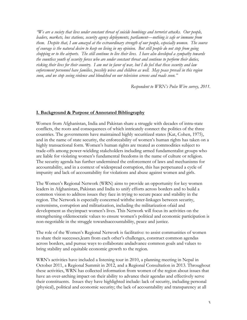*"We are a society that lives under constant threat of suicide bombings and terrorist attacks. Our people, leaders, markets, bus stations, security agency deployments, parliament—nothing is safe or immune from them. Despite that, I am amazed at the extraordinary strength of our people, especially women. The source of courage is the natural desire to keep on living in my opinion. But still people do not stop from going shopping or to the airports. The still continue to live their lives. I have also developed a sympathy towards the countless youth of security forces who are under constant threat and continue to perform their duties, risking their lives for their country. I am not in favor of war, but I do feel that these security and law enforcement personnel have families, possibly wives and children as well. May peace prevail in this region soon, and we stop seeing violence and bloodshed on our television screens and roads soon."*

*Respondent to WRN's Pulse Wire survey, 2011.*

#### **I. Background & Purpose of Annotated Bibliography**

Women from Afghanistan, India and Pakistan share a struggle with decades of intra-state conflicts, the roots and consequences of which intricately connect the politics of the three countries. The governments have maintained highly securitized states (Kat, Cohen, 1975), and in the name of state security, the enforceability of women's human rights has taken on a highly transactional form. Women's human rights are treated as commodities subject to trade-offs among power-wielding stakeholders including armed fundamentalist groups who are liable for violating women's fundamental freedoms in the name of culture or religion. The security agenda has further undermined the enforcement of laws and mechanisms for accountability, and in a context of widespread corruption, this has perpetuated a cycle of impunity and lack of accountability for violations and abuse against women and girls.

The Women's Regional Network (WRN) aims to provide an opportunity for key women leaders in Afghanistan, Pakistan and India to unify efforts across borders and to build a common vision to address issues they face in trying to secure peace and stability in the region. The Network is especially concerned withthe inter-linkages between security, extremisms, corruption and militarization, including the militarization ofaid and development as theyimpact women's lives. This Network will focus its activities on the strengthening ofdemocratic values to ensure women's political and economic participation is non-negotiable in the struggle towardsaccountability, peace and justice.

The role of the Women's Regional Network is facilitative: to assist communities of women to share their successes,learn from each other's challenges, construct common agendas across borders, and pursue ways to collaborate andadvance common goals and values to bring stability and equitable economic growth to the region.

WRN's activities have included a listening tour in 2010, a planning meeting in Nepal in October 2011, a Regional Summit in 2012, and a Regional Consultation in 2013. Throughout these activities, WRN has collected information from women of the region about issues that have an over-arching impact on their ability to advance their agendas and effectively serve their constituents. Issues they have highlighted include: lack of security, including personal (physical), political and economic security; the lack of accountability and transparency at all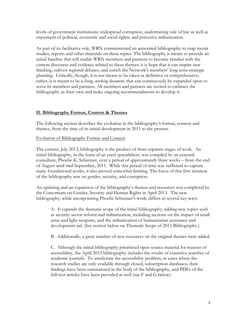levels of government institutions; widespread corruption, undermining rule of law as well as enjoyment of political, economic and social rights; and pervasive militarization.

As part of its facilitative role, WRN commissioned an annotated bibliography to map recent studies, reports and other materials on these topics. The bibliography is meant to provide an initial baseline that will enable WRN members and partners to become familiar with the current discourse and evidence related to these themes; it is hope that it can inspire new thinking, enliven regional debates, and enrich the Network's members' long term strategic planning. Critically, though, it is not meant to be taken as definitive or comprehensive; rather, it is meant to be a *living, working document*, that can continuously be expanded upon to serve its members and partners. All members and partners are invited to embrace the bibliography as their own and make ongoing recommendations to develop it.

## **II. Bibliography Format, Content & Themes**

The following section describes the evolution in the bibliography's format, content and themes, from the time of its initial development in 2011 to the present.

## Evolution of Bibliography Format and Content

The current, July 2013, bibliography is the product of three separate stages of work. An initial bibliography, in the form of an excel spreadsheet, was compiled by an external consultant, Phoebe K. Schreiner, over a period of approximately three weeks – from the end of August until mid-September, 2011. While this period of time was sufficient to capture many foundational works, it also proved somewhat limiting. The focus of this first iteration of the bibliography was on gender, security, and corruption.

An updating and an expansion of the bibliography's themes and resources was completed by the Consortium on Gender, Security and Human Rights in April 2013. The new bibliography, while incorporating Phoebe Schreiner's work, differs in several key ways:

A. It expands the thematic scope of the initial bibliography, adding new topics such as security sector reform and militarization, including sections on the impact of small arms and light weapons, and the militarization of humanitarian assistance and development aid. (See section below on Thematic Scope of 2013 Bibliography.)

B. Additionally, a great number of new resources on the original themes were added.

C. Although the initial bibliography prioritized open source material for reasons of accessibility, the April 2013 bibliography includes the results of extensive searches of academic journals. To ameliorate the accessibility problem, in cases where the research studies are only available through closed, subscription databases, their findings have been summarized in the body of the bibliography, and PDFs of the full-text articles have been provided as well (see F and G below).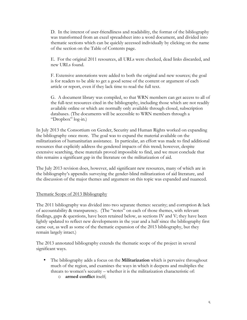D. In the interest of user-friendliness and readability, the format of the bibliography was transformed from an excel spreadsheet into a word document, and divided into thematic sections which can be quickly accessed individually by clicking on the name of the section on the Table of Contents page.

E. For the original 2011 resources, all URLs were checked, dead links discarded, and new URLs found.

F. Extensive annotations were added to both the original and new sources; the goal is for readers to be able to get a good sense of the content or argument of each article or report, even if they lack time to read the full text.

G. A document library was compiled, so that WRN members can get access to all of the full-text resources cited in the bibliography, including those which are not readily available online or which are normally only available through closed, subscription databases. (The documents will be accessible to WRN members through a "Dropbox" log-in.)

In July 2013 the Consortium on Gender, Security and Human Rights worked on expanding the bibliography once more. The goal was to expand the material available on the militarization of humanitarian assistance. In particular, an effort was made to find additional resources that explicitly address the gendered impacts of this trend; however, despite extensive searching, these materials proved impossible to find, and we must conclude that this remains a significant gap in the literature on the militarization of aid.

The July 2013 revision does, however, add significant new resources, many of which are in the bibliography's appendix surveying the gender-blind militarization of aid literature, and the discussion of the major themes and argument on this topic was expanded and nuanced.

## Thematic Scope of 2013 Bibliography

The 2011 bibliography was divided into two separate themes: security; and corruption & lack of accountability & transparency. (The "notes" on each of those themes, with relevant findings, gaps & questions, have been retained below, as sections IV and V; they have been lightly updated to reflect new developments in the year and a half since the bibliography first came out, as well as some of the thematic expansion of the 2013 bibliography, but they remain largely intact.)

The 2013 annotated bibliography extends the thematic scope of the project in several significant ways.

- The bibliography adds a focus on the **Militarization** which is pervasive throughout much of the region, and examines the ways in which it deepens and multiplies the threats to women's security – whether it is the militarization characteristic of:
	- o **armed conflict** itself;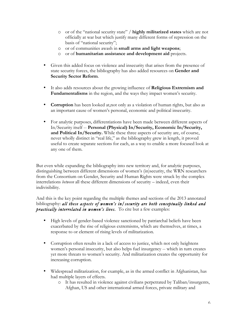- o or of the "national security state" / **highly militarized states** which are not officially at war but which justify many different forms of repression on the basis of "national security";
- o or of communities awash in **small arms and light weapons**;
- o or of **humanitarian assistance and development aid** projects.
- Given this added focus on violence and insecurity that arises from the presence of state security forces, the bibliography has also added resources on **Gender and Security Sector Reform**.
- It also adds resources about the growing influence of **Religious Extremism and Fundamentalisms** in the region, and the ways they impact women's security.
- **Corruption** has been looked at,not only as a violation of human rights, but also as an important cause of women's personal, economic and political insecurity.
- For analytic purposes, differentiations have been made between different aspects of In/Security itself -- **Personal (Physical) In/Security, Economic In/Security, and Political In/Security.** While these three aspects of security are, of course, never wholly distinct in "real life," as the bibliography grew in length, it proved useful to create separate sections for each, as a way to enable a more focused look at any one of them.

But even while expanding the bibliography into new territory and, for analytic purposes, distinguishing between different dimensions of women's (in)security, the WRN researchers from the Consortium on Gender, Security and Human Rights were struck by the complex interrelations *between* all these different dimensions of security – indeed, even their indivisibility.

And this is the key point regarding the multiple themes and sections of the 2013 annotated bibliography: *all these aspects of women's in/security are both conceptually linked and practically interrelated in women's lives.* To cite but a few examples:

- High levels of gender-based violence sanctioned by patriarchal beliefs have been exacerbated by the rise of religious extremisms, which are themselves, at times, a response to or element of rising levels of militarization.
- Corruption often results in a lack of access to justice, which not only heightens women's personal insecurity, but also helps fuel insurgency -- which in turn creates yet more threats to women's security. And militarization creates the opportunity for increasing corruption.
- Widespread militarization, for example, as in the armed conflict in Afghanistan, has had multiple layers of effects.
	- o It has resulted in violence against civilians perpetrated by Taliban/insurgents, Afghan, US and other international armed forces, private military and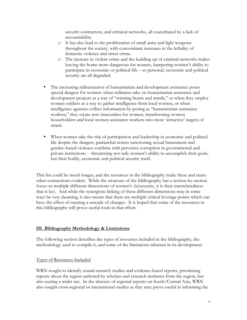security contractors, and criminal networks, all exacerbated by a lack of accountability.

- o It has also lead to the proliferation of small arms and light weapons throughout the society, with concomitant increases in the lethality of domestic violence and street crime.
- o The increase in violent crime and the building up of criminal networks makes leaving the home more dangerous for women, hampering women's ability to participate in economic or political life – so personal, economic and political security are all degraded.
- The increasing militarization of humanitarian and development assistance poses special dangers for women: when militaries take on humanitarian assistance and development projects as a way of "winning hearts and minds," or when they employ women soldiers as a way to gather intelligence from local women, or when intelligence agencies collect information by posing as "humanitarian assistance workers," they create new insecurities for women, transforming women householders and local women assistance workers into more 'attractive' targets of attack.
- When women take the risk of participation and leadership in economic and political life despite the dangers, patriarchal norms sanctioning sexual harassment and gender–based violence combine with pervasive corruption in governmental and private institutions -- threatening not only women's ability to accomplish their goals, but their bodily, economic and political security itself.

This list could be much longer, and the resources in the bibliography make these and many other connections evident. While the structure of the bibliography has a section-by-section focus on multiple different dimensions of women's (in)security, it is their interrelatedness that is key. And while the synergistic linking of these different dimensions may in some ways be very daunting, it also means that there are multiple critical leverage points which can have the effect of creating a cascade of changes. It is hoped that some of the resources in this bibliography will prove useful tools in that effort.

## **III. Bibliography Methodology & Limitations**

The following section describes the types of resources included in the bibliography, the methodology used to compile it, and some of the limitations inherent in its development.

## Types of Resources Included

WRN sought to identify sound research studies and evidence-based reports, prioritizing reports about the region authored by scholars and research institutes from the region, but also casting a wider net. In the absence of regional reports on South/Central Asia, WRN also sought cross-regional or international studies as they may prove useful in informing the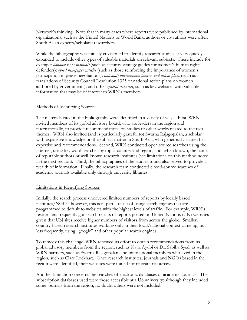Network's thinking. Note that in many cases where reports were published by international organizations, such as the United Nations or World Bank, authors or co-authors were often South Asian experts/scholars/researchers.

While the bibliography was initially envisioned to identify research studies, it very quickly expanded to include other types of valuable materials on relevant subjects. These include for example *handbooks or manuals* (such as security strategy guides for women's human rights defenders); *op-ed newspaper articles* (such as those reinforcing the importance of women's participation in peace negotiations); *national/international policies and action plans* (such as translations of Security Council Resolution 1325 or national action plans on women authored by governments); and other *general resources*, such as key websites with valuable information that may be of interest to WRN's members.

## Methods of Identifying Sources

The materials cited in the bibliography were identified in a variety of ways. First, WRN invited members of its global advisory board, who are leaders in the region and internationally, to provide recommendations on studies or other works related to the two themes. WRN also invited (and is particularly grateful to) Swarna Rajagopalan, a scholar with expansive knowledge on the subject matter in South Asia, who generously shared her expertise and recommendations. Second, WRN conducted open source searches using the internet, using key word searches by topic, country and region, and, when known, the names of reputable authors or well-known research institutes (see limitations on this method noted in the next section). Third, the bibliographies of the studies found also served to provide a wealth of information. Finally, the research team conducted closed-source searches of academic journals available only through university libraries.

## Limitations in Identifying Sources

Initially, the search process uncovered limited numbers of reports by locally based institutes/NGOs; however, this is in part a result of using search engines that are programmed to default to websites with the highest levels of traffic. For example, WRN's researchers frequently got search results of reports posted on United Nations (UN) websites given that UN sites receive higher numbers of visitors from across the globe. Smaller, country-based research institutes working only in their local/national context came up, but less frequently, using "google" and other popular search engines.

To remedy this challenge, WRN renewed its effort to obtain recommendations from its global advisory members from the region, such as Najla Ayubi or Dr. Sabiha Syed, as well as WRN partners, such as Swarna Rajagopalan, and international members who lived in the region, such as Clare Lockhart. Once research institutes, journals and NGOs based in the region were identified, their websites were mined for relevant resources.

Another limitation concerns the searches of electronic databases of academic journals. The subscription databases used were those accessible at a US university; although they included some journals from the region, no doubt others were not included.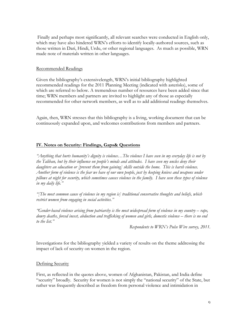Finally and perhaps most significantly, all relevant searches were conducted in English only, which may have also hindered WRN's efforts to identify locally-authored sources, such as those written in Dari, Hindi, Urdu, or other regional languages. As much as possible, WRN made note of materials written in other languages.

#### Recommended Readings

Given the bibliography's extensivelength, WRN's initial bibliography highlighted recommended readings for the 2011 Planning Meeting (indicated with asterisks), some of which are referred to below. A tremendous number of resources have been added since that time; WRN members and partners are invited to highlight any of those as especially recommended for other network members, as well as to add additional readings themselves.

Again, then, WRN stresses that this bibliography is a living, working document that can be continuously expanded upon, and welcomes contributions from members and partners.

## **IV. Notes on Security: Findings, Gaps& Questions**

*"Anything that hurts humanity's dignity is violence…The violence I have seen in my everyday life is not by the Taliban, but by their influence on people's minds and attitudes. I have seen my uncles deny their daughters an education or [prevent them from gaining] skills outside the home. This is harsh violence. Another form of violence is the fear we have of our own people, just by keeping knives and weapons under pillows at night for security, which sometimes causes violence in the family. I have seen these types of violence in my daily life."* 

*"[The most common cause of violence in my region is] traditional conservative thoughts and beliefs, which restrict women from engaging in social activities."*

*"Gender-based violence arising from patriarchy is the most widespread form of violence in my country – rape, dowry deaths, forced incest, abduction and trafficking of women and girls, domestic violence – there is no end to the list."*

*Respondents to WRN's Pulse Wire survey, 2011.*

Investigations for the bibliography yielded a variety of results on the theme addressing the impact of lack of security on women in the region.

#### Defining Security

First, as reflected in the quotes above, women of Afghanistan, Pakistan, and India define "security" broadly. Security for women is not simply the "national security" of the State, but rather was frequently described as freedom from personal violence and intimidation in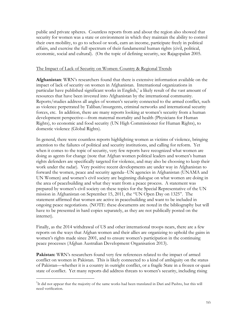public and private spheres. Countless reports from and about the region also showed that security for women was a state or environment in which they maintain the ability to control their own mobility, to go to school or work, earn an income, participate freely in political affairs, and exercise the full spectrum of their fundamental human rights (civil, political, economic, social and cultural). (On the topic of defining security, see Rajagopalan 2005.

#### The Impact of Lack of Security on Women: Country & Regional Trends

**Afghanistan**: WRN's researchers found that there is extensive information available on the impact of lack of security on women in Afghanistan. International organizations in particular have published significant works in English,<sup>1</sup> a likely result of the vast amount of resources that have been invested into Afghanistan by the international community. Reports/studies address all angles of women's security connected to the armed conflict, such as violence perpetrated by Taliban/insurgents, criminal networks and international security forces, etc. In addition, there are many reports looking at women's security from a human development perspective—from maternal mortality and health (Physicians for Human Rights), to economic and food security (UN High Commissioner for Human Rights), to domestic violence (Global Rights).

In general, there were countless reports highlighting women as victims of violence, bringing attention to the failures of political and security institutions, and calling for reform. Yet when it comes to the topic of security, very few reports have recognized what women are doing as agents for change (note that Afghan women political leaders and women's human rights defenders are specifically targeted for violence, and may also be choosing to keep their work under the radar). Very positive recent developments are under way in Afghanistan to forward the women, peace and security agenda--UN agencies in Afghanistan (UNAMA and UN Women) and women's civil society are beginning dialogue on what women are doing in the area of peacebuilding and what they want from a peace process. A statement was prepared by women's civil society on these topics for the Special Representative of the UN mission in Afghanistan on September 15, 2011, the "UN Open Day on 1325". The statement affirmed that women are active in peacebuilding and want to be included in ongoing peace negotiations. (NOTE: these documents are noted in the bibliography but will have to be presented in hard copies separately, as they are not publically posted on the internet).

Finally, as the 2014 withdrawal of US and other international troops nears, there are a few reports on the ways that Afghan women and their allies are organizing to uphold the gains in women's rights made since 2001, and to ensure women's participation in the continuing peace processes (Afghan Australian Development Organisation 2013).

**Pakistan:** WRN's researchers found very few references related to the impact of armed conflict on women in Pakistan. This is likely connected to a kind of ambiguity on the status of Pakistan—whether it is a country in outright conflict, or a fragile State in a frozen or quasi state of conflict. Yet many reports did address threats to women's security, including rising

<sup>|&</sup>lt;br>|<br>1 <sup>1</sup>It did not appear that the majority of the same works had been translated in Dari and Pashto, but this will need verification.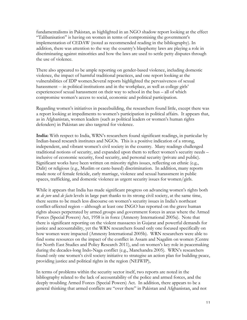fundamentalisms in Pakistan, as highlighted in an NGO shadow report looking at the effect "Talibanisation" is having on women in terms of compromising the government's implementation of CEDAW (noted as recommended reading in the bibliography). In addition, there was attention to the way the country's blasphemy laws are playing a role in discriminating against minorities and how the laws are used to settle petty disputes through the use of violence.

There also appeared to be ample reporting on gender-based violence, including domestic violence, the impact of harmful traditional practices, and one report looking at the vulnerabilities of IDP women.Several reports highlighted the pervasiveness of sexual harassment -- in political institutions and in the workplace, as well as college girls' experiencesof sexual harassment on their way to school in the bus – all of which compromise women's access to social, economic and political participation.

Regarding women's initiatives in peacebuilding, the researchers found little, except there was a report looking at impediments to women's participation in political affairs. It appears that, as in Afghanistan, women leaders (such as political leaders or women's human rights defenders) in Pakistan are also targeted for violence.

**India:** With respect to India, WRN's researchers found significant readings, in particular by Indian-based research institutes and NGOs. This is a positive indication of a strong, independent, and vibrant women's civil society in the country. Many readings challenged traditional notions of security, and expanded upon them to reflect women's security needs – inclusive of economic security, food security, and personal security (private and public). Significant works have been written on minority rights issues, reflecting on ethnic (e.g., Dalit) or religious (e.g., Muslim or caste-based) discrimination. In addition, many reports made note of female feticide, early marriage, violence and sexual harassment in public spaces, trafficking, and domestic violence as urgent security issues for women/girls.

While it appears that India has made significant progress on advancing women's rights both at *de jure* and *de facto* levels in large part thanks to its strong civil society, at the same time, there seems to be much less discourse on women's security issues in India's northeast conflict-affected region – although at least one INGO has reported on the grave human rights abuses perpetrated by armed groups and government forces in areas where the Armed Forces (Special Powers) Act, 1958 is in force (Amnesty International 2005a). Note that there is significant reporting on the violent massacres in Gujarat and powerful demands for justice and accountability, yet the WRN researchers found only one focused specifically on how women were impacted (Amnesty International 2005b). WRN researchers were able to find some resources on the impact of the conflict in Assam and Nagalim on women (Centre for North East Studies and Policy Research 2011), and on women's key role in peacemaking during the decades-long Indo-Naga conflict (e.g., Manchandra 2005). WRN's researchers found only one women's civil society initiative to strategise an action plan for building peace, providing justice and political rights in the region (NEIWIP),

In terms of problems within the security sector itself, two reports are noted in the bibliography related to the lack of accountability of the police and armed forces, and the deeply troubling Armed Forces (Special Powers) Act. In addition, there appears to be a general thinking that armed conflicts are "over there" in Pakistan and Afghanistan, and not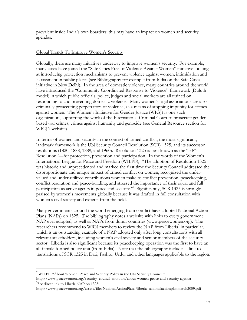prevalent inside India's own boarders; this may have an impact on women and security agendas.

## Global Trends To Improve Women's Security

Globally, there are many initiatives underway to improve women's security. For example, many cities have joined the "Safe Cities Free of Violence Against Women" initiative looking at introducing protection mechanisms to prevent violence against women, intimidation and harassment in public places (see Bibliography for example from India on the Safe Cities initiative in New Delhi). In the area of domestic violence, many countries around the world have introduced the "Community-Coordinated Response to Violence" framework (Duluth model) in which public officials, police, judges and social workers are all trained on responding to and preventing domestic violence. Many women's legal associations are also criminally prosecuting perpetrators of violence, as a means of stopping impunity for crimes against women. The Women's Initiative for Gender Justice (WIGJ) is one such organization, supporting the work of the International Criminal Court to prosecute genderbased war crimes, crimes against humanity and genocide (see General Resource section for WIGJ's website).

In terms of women and security in the context of armed conflict, the most significant, landmark framework is the UN Security Council Resolution (SCR) 1325, and its successor resolutions (1820, 1888, 1889, and 1960). Resolution 1325 is best known as the "3 P's Resolution"—for protection, prevention and participation. In the words of the Women's International League for Peace and Freedom (WILPF), "The adoption of Resolution 1325 was historic and unprecedented and marked the first time the Security Council addressed the disproportionate and unique impact of armed conflict on women, recognized the undervalued and under-utilized contributions women make to conflict prevention, peacekeeping, conflict resolution and peace-building, and stressed the importance of their equal and full participation as active agents in peace and security."<sup>2</sup> Significantly, SCR 1325 is strongly praised by women's movements globally because it was drafted in full consultation with women's civil society and experts from the field.

Many governments around the world emerging from conflict have adopted National Action Plans (NAPs) on 1325. The bibliography notes a website with links to every government NAP ever adopted, as well as NAPs from donor countries (www.peacewomen.org). The researchers recommend to WRN members to review the NAP from Liberia<sup>3</sup> in particular, which is an outstanding example of a NAP adopted only after long consultations with all relevant stakeholders, including women's civil society and senior members of the security sector. Liberia is also significant because its peacekeeping operation was the first to have an all-female formed police unit (from India). Note that the bibliography includes a link to translations of SCR 1325 in Dari, Pashto, Urdu, and other languages applicable to the region.

 <sup>2</sup> WILPF. "About Women, Peace and Security Policy in the UN Security Council."

http://www.peacewomen.org/security\_council\_monitor/about-women-peace-and-security-agenda 3 See direct link to Liberia NAP on 1325:

http://www.peacewomen.org/assets/file/NationalActionPlans/liberia\_nationalactionplanmarch2009.pdf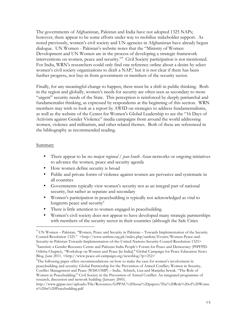The governments of Afghanistan, Pakistan and India have not adopted 1325 NAPs; however, there appear to be some efforts under way to mobilize stakeholder support. As noted previously, women's civil society and UN agencies in Afghanistan have already begun dialogue. UN Women - Pakistan's website notes that the "Ministry of Women Development and UN Women are in the process of developing a strategic framework interventions on women, peace and security."4 Civil Society participation is not mentioned. For India, WRN's researchers could only find one reference online about a desire by select women's civil society organizations to draft a NAP, <sup>5</sup> but it is not clear if there has been further progress, nor buy-in from government or members of the security sector.

Finally, for any meaningful change to happen, there must be a shift in public thinking. Both in the region and globally, women's needs for security are often seen as secondary to more "urgent" security needs of the State. This perception is reinforced by deeply patriarchal and fundamentalist thinking, as expressed by respondents at the beginning of this section. WRN members may wish to look at a report by AWID on strategies to address fundamentalisms, as well as the website of the Center for Women's Global Leadership to see the "16 Days of Activism against Gender Violence" media campaigns from around the world addressing women, violence and militarism, and other related themes. Both of these are referenced in the bibliography as recommended reading.

#### Summary

- There appear to be no major *regional / pan-South Asian* networks or ongoing initiatives to advance the women, peace and security agenda
- How women define security is broad
- Public and private forms of violence against women are pervasive and systematic in all countries
- Governments typically view women's security not as an integral part of national security, but rather as separate and secondary
- Women's participation in peacebuilding is typically not acknowledged as vital to longterm peace and security<sup>6</sup>
- There is little attention to women engaged in peacebuilding
- Women's civil society does not appear to have developed many strategic partnerships with members of the security sector in their countries (although the Safe Cities

 <sup>4</sup> UN Women – Pakistan, "Women, Peace and Security in Pakistan – Towards Implementation of the Security Council Resolution 1325." <http://www.unifem.org.pk/index.php/unifem/Events/Women-Peace-and-Security-in-Pakistan-Towards-Implementation-of-the-United-Nations-Security-Council-Resolution-1325> 5 Sansristi: a Gender Resource Centre and Pakistan India People's Forum for Peace and Democracy (PIPFPD-Odisha Chapter), "Workshop on Women and Peace [in India]." Global Campaign for Peace Education News Blog. June 2011. <http://www.peace-ed-campaign.org/newsblog/?p=252>

<sup>&</sup>lt;sup>6</sup>The following paper offers recommendations on how to make the case for women's involvement in peacebuilding and security: Global Partnership for the Prevention of Armed Conflict, Women in Security, Conflict Management and Peace (WISCOMP) – India. Schirch, Lisa and Manjrika Sewak. "The Role of Women in Peacebuilding." Civil Society in the Prevention of Armed Conflict: An integrated programme of research, discussion and network building (January 2005).

http://www.gppac.net/uploads/File/Resources/GPPAC%20Issue%20papers/The%20Role%20of%20Wome n%20in%20Peacebuilding.pdf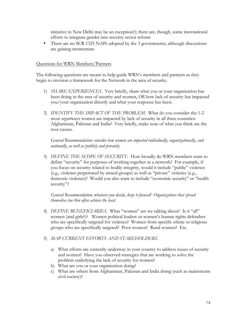initiative in New Delhi may be an exception?); there are, though, some international efforts to integrate gender into security sector reform

• There are no SCR 1325 NAPs adopted by the 3 governments, although discussions are gaining momentum

#### Questions for WRN Members/Partners

The following questions are meant to help guide WRN's members and partners as they begin to envision a framework for the Network in the area of security.

- 1) *SHARE EXPERIENCES*. Very briefly, share what you or your organization has been doing in the area of security and women, *OR* how lack of security has impacted you/your organization directly and what your response has been.
- 2) *IDENTIFY THE IMPACT OF THE PROBLEM*. What do you consider the 1-2 most *urgent*ways women are impacted by lack of security in all three countries: Afghanistan, Pakistan and India? Very briefly, make note of what you think are the root causes.

*General Recommendation: consider how women are impacted individually, organizationally, and nationally, as well as publicly and privately.* 

3) *DEFINE THE SCOPE OF SECURITY*. How broadly do WRN members want to define "security" for purposes of working together as a network? For example, if you focus on security related to bodily integrity, would it include "public" violence (e.g., violence perpetrated by armed groups) as well as "private" violence (e.g., domestic violence)? Would you also want to include "economic security" or "health security"?

*General Recommendation: whatever you decide, keep it focused! Organizations that spread themselves too thin often achieve the least.*

- 4) *DEFINE BENEFICIARIES*. What "women" are we talking about? Is it "all" women (and girls?)? Women political leaders or women's human rights defenders who are specifically targeted for violence? Women from specific ethnic or religious groups who are specifically targeted? Poor women? Rural women? Etc.
- 5) *MAP CURRENT EFFORTS AND STAKEHOLDERS.* 
	- a) What efforts are currently underway in your country to address issues of security and women? Have you observed strategies that are working to solve the problem underlying the lack of security for women?
	- b) What are you or your organization doing?
	- c) What are others from Afghanistan, Pakistan and India doing (such as mainstream civil society)?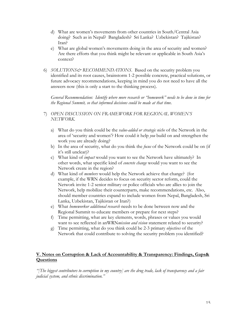- d) What are women's movements from other countries in South/Central Asia doing? Such as in Nepal? Bangladesh? Sri Lanka? Uzbekistan? Tajikistan? Iran?
- e) What are global women's movements doing in the area of security and women? Are there efforts that you think might be relevant or applicable in South Asia's context?
- 6) *SOLUTIONS& RECOMMENDATIONS*. Based on the security problem you identified and its root causes, brainstorm 1-2 possible concrete, practical solutions, or future advocacy recommendations, keeping in mind you do not need to have all the answers now (this is only a start to the thinking process).

*General Recommendation: Identify where more research or "homework" needs to be done in time for the Regional Summit, so that informed decisions could be made at that time.* 

- 7) *OPEN DISCUSSION ON FRAMEWORK FOR REGIONAL WOMEN'S NETWORK.* 
	- a) What do you think could be the *value-added or strategic niche* of the Network in the area of 'security and women'? How could it help *you* build on and strengthen the work you are already doing?
	- b) In the area of security, what do you think the *focus* of the Network could be on (if it's still unclear)?
	- c) What kind of *impact* would you want to see the Network have ultimately? In other words, what specific kind of *concrete change* would you want to see the Network create in the region?
	- d) What kind of *members* would help the Network achieve that change? (for example, if the WRN decides to focus on security sector reform, could the Network invite 1-2 senior military or police officials who are allies to join the Network, help mobilize their counterparts, make recommendations, etc. Also, should member countries expand to include women from Nepal, Bangladesh, Sri Lanka, Uzbekistan, Tajikistan or Iran?)
	- e) What *homeworkor additional research* needs to be done between now and the Regional Summit to educate members or prepare for next steps?
	- f) Time permitting, what are key elements, words, phrases or values you would want to see reflected in anWRN*mission and vision* statement related to security?
	- g) Time permitting, what do you think could be 2-3 primary *objectives* of the Network that could contribute to solving the security problem you identified?

## **V. Notes on Corruption & Lack of Accountability & Transparency: Findings, Gaps& Questions**

*"[The biggest contributors to corruption in my country] are the drug trade, lack of transparency and a fair judicial system, and ethnic discrimination."*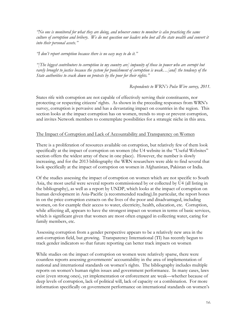*"No one is monitored for what they are doing, and whoever comes to monitor is also practicing the same culture of corruption and bribery. We do not question our leaders who loot all the state wealth and convert it into their personal assets."*

*"I don't report corruption because there is no easy way to do it."*

*"[The biggest contributors to corruption in my country are] impunity of those in power who are corrupt but*  rarely brought to justice because the system for punishment of corruption is weak...[and] the tendency of the *State authorities to crack down on protests by the poor for their rights."*

*Respondents to WRN's Pulse Wire survey, 2011.*

States rife with corruption are not capable of effectively serving their constituents, nor protecting or respecting citizens' rights. As shown in the preceding responses from WRN's survey, corruption is pervasive and has a devastating impact on countries in the region. This section looks at the impact corruption has on women, trends to stop or prevent corruption, and invites Network members to contemplate possibilities for a strategic niche in this area.

## The Impact of Corruption and Lack of Accountability and Transparency on Women

There is a proliferation of resources available on corruption, but relatively few of them look specifically at the impact of corruption on women (the U4 website in the "Useful Websites" section offers the widest array of these in one place). However, the number is slowly increasing, and for the 2013 bibliography the WRN researchers were able to find several that look specifically at the impact of corruption on women in Afghanistan, Pakistan or India.

Of the studies assessing the impact of corruption on women which are not specific to South Asia, the most useful were several reports commissioned by or collected by U4 (all listing in the bibliography), as well as a report by UNDP, which looks at the impact of corruption on human development in Asia-Pacific (a recommended reading).In particular, the report hones in on the price corruption extracts on the lives of the poor and disadvantaged, including women, on for example their access to water, electricity, health, education, etc. Corruption, while affecting all, appears to have the strongest impact on women in terms of basic services, which is significant given that women are most often engaged in collecting water, caring for family members, etc.

Assessing corruption from a gender perspective appears to be a relatively new area in the anti-corruption field, but growing. Transparency International (TI) has recently begun to track gender indicators so that future reporting can better track impacts on women

While studies on the impact of corruption on women were relatively sparse, there were countless reports assessing governments' accountability in the area of implementation of national and international standards on women's rights. The bibliography includes multiple reports on women's human rights issues and government performance. In many cases, laws exist (even strong ones), yet implementation or enforcement are weak—whether because of deep levels of corruption, lack of political will, lack of capacity or a combination. For more information specifically on government performance on international standards on women's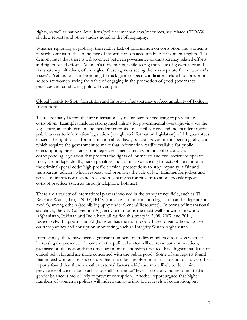rights, as well as national-level laws/policies/mechanisms/resources, see related CEDAW shadow reports and other studies noted in the bibliography.

Whether regionally or globally, the relative lack of information on corruption and women is in stark contrast to the abundance of information on accountability to women's rights. This demonstrates that there is a disconnect between governance or transparency-related efforts and rights-based efforts. Women's movements, while seeing the value of governance and transparency initiatives, often neglect these agendas seeing them as separate from "women's issues". Yet just as TI is beginning to track gender-specific indicators related to corruption, so too are women seeing the value of engaging in the promotion of good governance practices and conducting political oversight.

## Global Trends to Stop Corruption and Improve Transparency & Accountability of Political Institutions

There are many factors that are internationally recognized for reducing or preventing corruption. Examples include: strong mechanisms for governmental oversight vis-à-vis the legislature, an ombudsman, independent commissions, civil society, and independent media; public access to information legislation (or right to information legislation) which guarantees citizens the right to ask for information about laws, policies, government spending, etc., and which requires the government to make that information readily available for public consumption; the existence of independent media and a vibrant civil society, and corresponding legislation that protects the rights of journalists and civil society to operate freely and independently; harsh penalties and criminal sentencing for acts of corruption in the criminal/penal code; high-profile criminal prosecutions to stop impunity; a fair and transparent judiciary which respects and promotes the rule of law; trainings for judges and police on international standards; and mechanisms for citizens to anonymously report corrupt practices (such as through telephone hotlines).

There are a variety of international players involved in the transparency field, such as TI, Revenue Watch, Tiri, UNDP, IREX (for access to information legislation and independent media), among others (see bibliography under General Resources). In terms of international standards, the UN Convention Against Corruption is the most well known framework; Afghanistan, Pakistan and India have all ratified this treaty in 2008, 2007, and 2011, respectively. It appears that Afghanistan has the most locally-based organizations focused on transparency and corruption monitoring, such as Integrity Watch Afghanistan.

Interestingly, there have been significant numbers of studies conducted to assess whether increasing the presence of women in the political sector will decrease corrupt practices, premised on the notion that women are more relationship oriented, have higher standards of ethical behavior and are more concerned with the public good. Some of the reports found that indeed women are less corrupt than men (less involved in it, less tolerant of it), yet other reports found that there are other external factors which are more likely to determine prevalence of corruption, such as overall "tolerance" levels in society. Some found that a gender balance is more likely to prevent corruption. Another report argued that higher numbers of women in politics will indeed translate into lower levels of corruption, but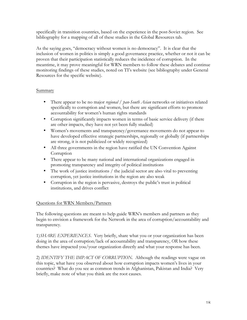specifically in transition countries, based on the experience in the post-Soviet region. See bibliography for a mapping of all of these studies in the Global Resources tab.

As the saying goes, "democracy without women is no democracy". It is clear that the inclusion of women in politics is simply a good governance practice, whether or not it can be proven that their participation statistically reduces the incidence of corruption. In the meantime, it may prove meaningful for WRN members to follow these debates and continue monitoring findings of these studies, noted on TI's website (see bibliography under General Resources for the specific website).

## Summary

- There appear to be no major *regional / pan-South Asian* networks or initiatives related specifically to corruption and women, but there are significant efforts to promote accountability for women's human rights standards
- Corruption significantly impacts women in terms of basic service delivery (if there are other impacts, they have not yet been fully studied)
- Women's movements and transparency/governance movements do not appear to have developed effective strategic partnerships, regionally or globally (if partnerships are strong, it is not publicized or widely recognized)
- All three governments in the region have ratified the UN Convention Against **Corruption**
- There appear to be many national and international organizations engaged in promoting transparency and integrity of political institutions
- The work of justice institutions / the judicial sector are also vital to preventing corruption, yet justice institutions in the region are also weak
- Corruption in the region is pervasive, destroys the public's trust in political institutions, and drives conflict

## Questions for WRN Members/Partners

The following questions are meant to help guide WRN's members and partners as they begin to envision a framework for the Network in the area of corruption/accountability and transparency.

1)*SHARE EXPERIENCES*. Very briefly, share what you or your organization has been doing in the area of corruption/lack of accountability and transparency, *OR* how these themes have impacted you/your organization directly and what your response has been.

2) *IDENTIFY THE IMPACT OF CORRUPTION*. Although the readings were vague on this topic, what have you observed about how corruption impacts women's lives in your countries? What do you see as common trends in Afghanistan, Pakistan and India? Very briefly, make note of what you think are the root causes.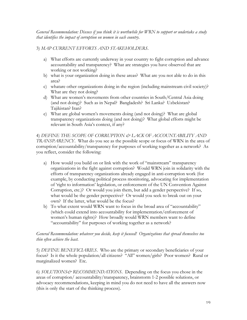*General Recommendation: Discuss if you think it is worthwhile for WRN to support or undertake a study that identifies the impact of corruption on women in each country.*

## 3) *MAP CURRENT EFFORTS AND STAKEHOLDERS*.

- a) What efforts are currently underway in your country to fight corruption and advance accountability and transparency? What are strategies you have observed that are working or not working?
- b) what is your organization doing in these areas? What are you not able to do in this area?
- c) whatare other organizations doing in the region (including mainstream civil society)? What are they not doing?
- d) What are women's movements from other countries in South/Central Asia doing (and not doing)? Such as in Nepal? Bangladesh? Sri Lanka? Uzbekistan? Tajikistan? Iran?
- e) What are global women's movements doing (and not doing)? What are global transparency organizations doing (and not doing)? What global efforts might be relevant in South Asia's context, if any?

4) *DEFINE THE SCOPE OF CORRUPTION & LACK OF ACCOUNTABILITY AND TRANSPARENCY*. What do you see as the possible scope or focus of WRN in the area of corruption/accountability/transparency for purposes of working together as a network? As you reflect, consider the following:

- a) How would you build on or link with the work of "mainstream" transparency organizations in the fight against corruption? Would WRN join in solidarity with the efforts of transparency organizations already engaged in anti-corruption work (for example, by conducting political process monitoring, advocating for implementation of 'right to information' legislation, or enforcement of the UN Convention Against Corruption, etc.)? Or would you join them, but add a gender perspective? If so, what would be the gender perspective? Or would you seek to break out on your own? If the latter, what would be the focus?
- b) To what extent would WRN want to focus in the broad area of "accountability" (which could extend into accountability for implementation/enforcement of women's human rights)? How broadly would WRN members want to define "accountability" for purposes of working together as a network?

## *General Recommendation: whatever you decide, keep it focused! Organizations that spread themselves too thin often achieve the least.*

5) *DEFINE BENEFICIARIES*. Who are the primary or secondary beneficiaries of your focus? Is it the whole population/all citizens? "All" women/girls? Poor women? Rural or marginalized women? Etc.

6) *SOLUTIONS& RECOMMENDATIONS*. Depending on the focus you chose in the areas of corruption/ accountability/transparency, brainstorm 1-2 possible solutions, or advocacy recommendations, keeping in mind you do not need to have all the answers now (this is only the start of the thinking process).